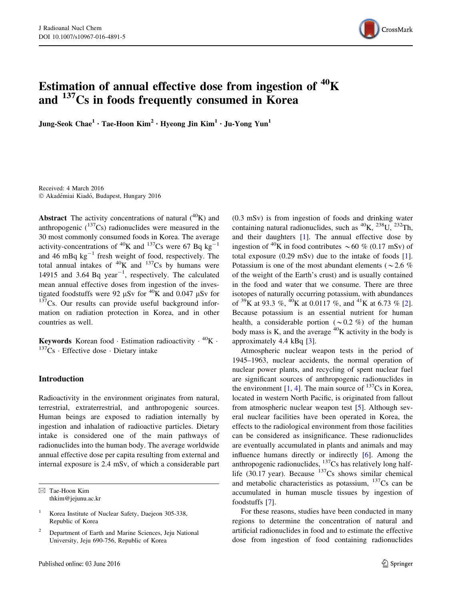

# Estimation of annual effective dose from ingestion of  ${}^{40}$ K and  $137Cs$  in foods frequently consumed in Korea

Jung-Seok Chae<sup>1</sup> • Tae-Hoon Kim<sup>2</sup> • Hyeong Jin Kim<sup>1</sup> • Ju-Yong Yun<sup>1</sup>

Received: 4 March 2016 © Akadémiai Kiadó, Budapest, Hungary 2016

**Abstract** The activity concentrations of natural  $(^{40}K)$  and anthropogenic  $(^{137}Cs)$  radionuclides were measured in the 30 most commonly consumed foods in Korea. The average activity-concentrations of <sup>40</sup>K and <sup>137</sup>Cs were 67 Bq kg<sup>-1</sup> and 46 mBq  $kg^{-1}$  fresh weight of food, respectively. The total annual intakes of  ${}^{40}$ K and  ${}^{137}$ Cs by humans were 14915 and 3.64 Bq year<sup> $-1$ </sup>, respectively. The calculated mean annual effective doses from ingestion of the investigated foodstuffs were 92  $\mu$ Sv for <sup>40</sup>K and 0.047  $\mu$ Sv for  $137$ Cs. Our results can provide useful background information on radiation protection in Korea, and in other countries as well.

Keywords Korean food · Estimation radioactivity ·  ${}^{40}$ K ·  $137Cs$  · Effective dose · Dietary intake

## Introduction

Radioactivity in the environment originates from natural, terrestrial, extraterrestrial, and anthropogenic sources. Human beings are exposed to radiation internally by ingestion and inhalation of radioactive particles. Dietary intake is considered one of the main pathways of radionuclides into the human body. The average worldwide annual effective dose per capita resulting from external and internal exposure is 2.4 mSv, of which a considerable part

 $\boxtimes$  Tae-Hoon Kim thkim@jejunu.ac.kr (0.3 mSv) is from ingestion of foods and drinking water containing natural radionuclides, such as  ${}^{40}$ K,  ${}^{238}$ U,  ${}^{232}$ Th, and their daughters [[1\]](#page-5-0). The annual effective dose by ingestion of <sup>40</sup>K in food contributes  $\sim$  60 % (0.17 mSv) of total exposure (0.29 mSv) due to the intake of foods [\[1](#page-5-0)]. Potassium is one of the most abundant elements ( $\sim$  2.6 %) of the weight of the Earth's crust) and is usually contained in the food and water that we consume. There are three isotopes of naturally occurring potassium, with abundances of <sup>39</sup>K at 93.3 %, <sup>40</sup>K at 0.0117 %, and <sup>41</sup>K at 6.73 % [\[2](#page-5-0)]. Because potassium is an essential nutrient for human health, a considerable portion ( $\sim 0.2$  %) of the human body mass is K, and the average  ${}^{40}$ K activity in the body is approximately 4.4 kBq [\[3](#page-5-0)].

Atmospheric nuclear weapon tests in the period of 1945–1963, nuclear accidents, the normal operation of nuclear power plants, and recycling of spent nuclear fuel are significant sources of anthropogenic radionuclides in the environment  $[1, 4]$  $[1, 4]$  $[1, 4]$  $[1, 4]$ . The main source of  $137$ Cs in Korea, located in western North Pacific, is originated from fallout from atmospheric nuclear weapon test [\[5](#page-5-0)]. Although several nuclear facilities have been operated in Korea, the effects to the radiological environment from those facilities can be considered as insignificance. These radionuclides are eventually accumulated in plants and animals and may influence humans directly or indirectly [[6\]](#page-5-0). Among the anthropogenic radionuclides,  $^{137}$ Cs has relatively long halflife (30.17 year). Because  $137Cs$  shows similar chemical and metabolic characteristics as potassium,  $137Cs$  can be accumulated in human muscle tissues by ingestion of foodstuffs [\[7](#page-5-0)].

For these reasons, studies have been conducted in many regions to determine the concentration of natural and artificial radionuclides in food and to estimate the effective dose from ingestion of food containing radionuclides

Korea Institute of Nuclear Safety, Daejeon 305-338, Republic of Korea

<sup>&</sup>lt;sup>2</sup> Department of Earth and Marine Sciences, Jeju National University, Jeju 690-756, Republic of Korea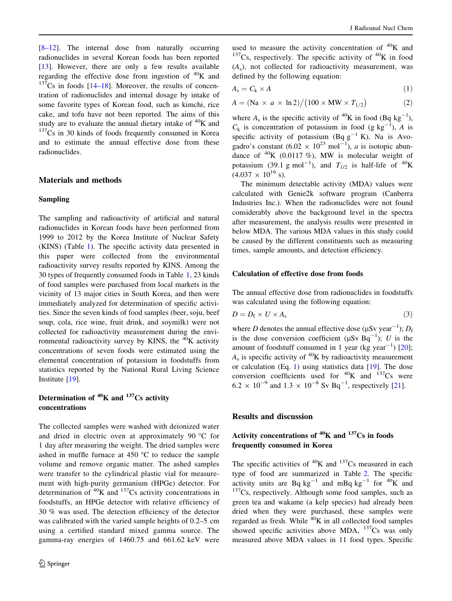[\[8–12](#page-5-0)]. The internal dose from naturally occurring radionuclides in several Korean foods has been reported [\[13](#page-5-0)]. However, there are only a few results available regarding the effective dose from ingestion of  ${}^{40}$ K and  $137Cs$  in foods [\[14](#page-5-0)–[18\]](#page-5-0). Moreover, the results of concentration of radionuclides and internal dosage by intake of some favorite types of Korean food, such as kimchi, rice cake, and tofu have not been reported. The aims of this study are to evaluate the annual dietary intake of  ${}^{40}$ K and  $137<sub>Cs</sub>$  in 30 kinds of foods frequently consumed in Korea and to estimate the annual effective dose from these radionuclides.

#### Materials and methods

#### Sampling

The sampling and radioactivity of artificial and natural radionuclides in Korean foods have been performed from 1999 to 2012 by the Korea Institute of Nuclear Safety (KINS) (Table [1](#page-2-0)). The specific activity data presented in this paper were collected from the environmental radioactivity survey results reported by KINS. Among the 30 types of frequently consumed foods in Table [1](#page-2-0), 23 kinds of food samples were purchased from local markets in the vicinity of 13 major cities in South Korea, and then were immediately analyzed for determination of specific activities. Since the seven kinds of food samples (beer, soju, beef soup, cola, rice wine, fruit drink, and soymilk) were not collected for radioactivity measurement during the environmental radioactivity survey by KINS, the  ${}^{40}$ K activity concentrations of seven foods were estimated using the elemental concentration of potassium in foodstuffs from statistics reported by the National Rural Living Science Institute [[19\]](#page-5-0).

## Determination of  ${}^{40}$ K and  ${}^{137}$ Cs activity concentrations

The collected samples were washed with deionized water and dried in electric oven at approximately 90  $\degree$ C for 1 day after measuring the weight. The dried samples were ashed in muffle furnace at  $450 \degree C$  to reduce the sample volume and remove organic matter. The ashed samples were transfer to the cylindrical plastic vial for measurement with high-purity germanium (HPGe) detector. For determination of  ${}^{40}$ K and  ${}^{137}$ Cs activity concentrations in foodstuffs, an HPGe detector with relative efficiency of 30 % was used. The detection efficiency of the detector was calibrated with the varied sample heights of 0.2–5 cm using a certified standard mixed gamma source. The gamma-ray energies of 1460.75 and 661.62 keV were

used to measure the activity concentration of  ${}^{40}$ K and  $137Cs$ , respectively. The specific activity of  $40K$  in food  $(A_s)$ , not collected for radioactivity measurement, was defined by the following equation:

$$
A_{\rm s} = C_{\rm k} \times A \tag{1}
$$

$$
A = (\text{Na} \times a \times \text{ln}2) / (100 \times \text{MW} \times T_{1/2}) \tag{2}
$$

where  $A_s$  is the specific activity of <sup>40</sup>K in food (Bq kg<sup>-1</sup>),  $C_k$  is concentration of potassium in food (g kg<sup>-1</sup>), A is specific activity of potassium (Bq  $g^{-1}$  K), Na is Avogadro's constant  $(6.02 \times 10^{23} \text{ mol}^{-1})$ , *a* is isotopic abundance of  ${}^{40}$ K (0.0117 %), MW is molecular weight of potassium (39.1 g mol<sup>-1</sup>), and  $T_{1/2}$  is half-life of <sup>40</sup>K  $(4.037 \times 10^{16} \text{ s}).$ 

The minimum detectable activity (MDA) values were calculated with Genie2k software program (Canberra Industries Inc.). When the radionuclides were not found considerably above the background level in the spectra after measurement, the analysis results were presented in below MDA. The various MDA values in this study could be caused by the different constituents such as measuring times, sample amounts, and detection efficiency.

#### Calculation of effective dose from foods

The annual effective dose from radionuclides in foodstuffs was calculated using the following equation:

$$
D = D_{\rm f} \times U \times A_{\rm s} \tag{3}
$$

where *D* denotes the annual effective dose ( $\mu$ Sv year<sup>-1</sup>); *D*<sub>f</sub> is the dose conversion coefficient ( $\mu Sv$  Bq<sup>-1</sup>); U is the amount of foodstuff consumed in 1 year (kg year<sup>-1</sup>) [\[20](#page-5-0)];  $A<sub>s</sub>$  is specific activity of <sup>40</sup>K by radioactivity measurement or calculation (Eq. 1) using statistics data [[19\]](#page-5-0). The dose conversion coefficients used for  ${}^{40}$ K and  ${}^{137}$ Cs were  $6.2 \times 10^{-9}$  and  $1.3 \times 10^{-8}$  Sv Bq<sup>-1</sup>, respectively [\[21](#page-6-0)].

#### Results and discussion

# Activity concentrations of  ${}^{40}$ K and  ${}^{137}$ Cs in foods frequently consumed in Korea

The specific activities of  ${}^{40}$ K and  ${}^{137}$ Cs measured in each type of food are summarized in Table [2](#page-3-0). The specific activity units are Bq  $kg^{-1}$  and mBq  $kg^{-1}$  for <sup>40</sup>K and  $137Cs$ , respectively. Although some food samples, such as green tea and wakame (a kelp species) had already been dried when they were purchased, these samples were regarded as fresh. While  $^{40}$ K in all collected food samples showed specific activities above MDA,  $^{137}Cs$  was only measured above MDA values in 11 food types. Specific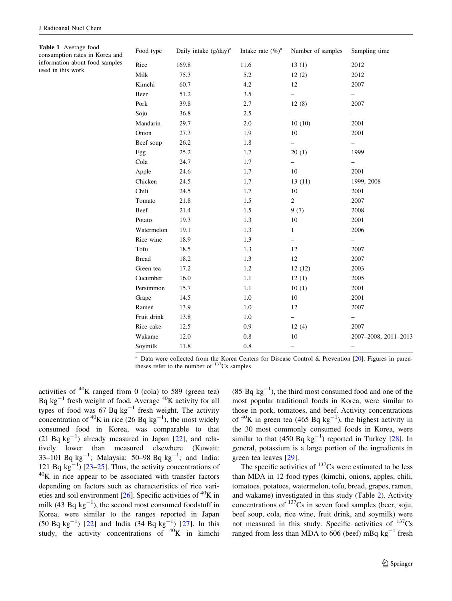<span id="page-2-0"></span>Table 1 Average food consumption rates in Korea and information about food samples used in this work

| Food type    | Daily intake $(g/day)^a$ | Intake rate $(\%)^a$ | Number of samples        | Sampling time            |
|--------------|--------------------------|----------------------|--------------------------|--------------------------|
| Rice         | 169.8                    | 11.6                 | 13(1)                    | 2012                     |
| Milk         | 75.3                     | 5.2                  | 12(2)                    | 2012                     |
| Kimchi       | 60.7                     | 4.2                  | 12                       | 2007                     |
| Beer         | 51.2                     | 3.5                  | —                        | -                        |
| Pork         | 39.8                     | 2.7                  | 12(8)                    | 2007                     |
| Soju         | 36.8                     | 2.5                  | $\overline{\phantom{0}}$ | $\qquad \qquad -$        |
| Mandarin     | 29.7                     | 2.0                  | 10(10)                   | 2001                     |
| Onion        | 27.3                     | 1.9                  | 10                       | 2001                     |
| Beef soup    | 26.2                     | 1.8                  | -                        | -                        |
| Egg          | 25.2                     | 1.7                  | 20(1)                    | 1999                     |
| Cola         | 24.7                     | 1.7                  | $\overline{\phantom{0}}$ | $\overline{\phantom{0}}$ |
| Apple        | 24.6                     | 1.7                  | 10                       | 2001                     |
| Chicken      | 24.5                     | 1.7                  | 13(11)                   | 1999, 2008               |
| Chili        | 24.5                     | 1.7                  | 10                       | 2001                     |
| Tomato       | 21.8                     | 1.5                  | $\overline{c}$           | 2007                     |
| Beef         | 21.4                     | 1.5                  | 9(7)                     | 2008                     |
| Potato       | 19.3                     | 1.3                  | 10                       | 2001                     |
| Watermelon   | 19.1                     | 1.3                  | $\mathbf{1}$             | 2006                     |
| Rice wine    | 18.9                     | 1.3                  | $\overline{\phantom{0}}$ | $\overline{\phantom{0}}$ |
| Tofu         | 18.5                     | 1.3                  | 12                       | 2007                     |
| <b>Bread</b> | 18.2                     | 1.3                  | 12                       | 2007                     |
| Green tea    | 17.2                     | 1.2                  | 12(12)                   | 2003                     |
| Cucumber     | 16.0                     | 1.1                  | 12(1)                    | 2005                     |
| Persimmon    | 15.7                     | 1.1                  | 10(1)                    | 2001                     |
| Grape        | 14.5                     | 1.0                  | 10                       | 2001                     |
| Ramen        | 13.9                     | 1.0                  | 12                       | 2007                     |
| Fruit drink  | 13.8                     | 1.0                  | -                        | -                        |
| Rice cake    | 12.5                     | 0.9                  | 12(4)                    | 2007                     |
| Wakame       | 12.0                     | $0.8\,$              | 10                       | 2007-2008, 2011-2013     |
| Soymilk      | 11.8                     | $\rm 0.8$            | $\overline{\phantom{0}}$ | -                        |

<sup>a</sup> Data were collected from the Korea Centers for Disease Control & Prevention [[20](#page-5-0)]. Figures in parentheses refer to the number of  $137Cs$  samples

activities of  ${}^{40}$ K ranged from 0 (cola) to 589 (green tea) Bq  $kg^{-1}$  fresh weight of food. Average  $^{40}K$  activity for all types of food was  $67$  Bq kg<sup>-1</sup> fresh weight. The activity concentration of <sup>40</sup>K in rice (26 Bq  $kg^{-1}$ ), the most widely consumed food in Korea, was comparable to that  $(21$  Bq kg<sup>-1</sup>) already measured in Japan [[22\]](#page-6-0), and relatively lower than measured elsewhere (Kuwait: 33-101 Bq  $kg^{-1}$ ; Malaysia: 50-98 Bq  $kg^{-1}$ ; and India: 121 Bq  $kg^{-1}$ ) [\[23–25](#page-6-0)]. Thus, the activity concentrations of  $^{40}$ K in rice appear to be associated with transfer factors depending on factors such as characteristics of rice varieties and soil environment  $[26]$  $[26]$ . Specific activities of <sup>40</sup>K in milk (43 Bq  $kg^{-1}$ ), the second most consumed foodstuff in Korea, were similar to the ranges reported in Japan  $(50 Bq kg^{-1})$  [[22\]](#page-6-0) and India  $(34 Bq kg^{-1})$  [\[27](#page-6-0)]. In this study, the activity concentrations of  $^{40}$ K in kimchi

 $(85 Bq kg<sup>-1</sup>)$ , the third most consumed food and one of the most popular traditional foods in Korea, were similar to those in pork, tomatoes, and beef. Activity concentrations of <sup>40</sup>K in green tea (465 Bq  $kg^{-1}$ ), the highest activity in the 30 most commonly consumed foods in Korea, were similar to that  $(450 \text{ Bq kg}^{-1})$  reported in Turkey [\[28](#page-6-0)]. In general, potassium is a large portion of the ingredients in green tea leaves [\[29](#page-6-0)].

The specific activities of  $137Cs$  were estimated to be less than MDA in 12 food types (kimchi, onions, apples, chili, tomatoes, potatoes, watermelon, tofu, bread, grapes, ramen, and wakame) investigated in this study (Table [2\)](#page-3-0). Activity concentrations of  $137Cs$  in seven food samples (beer, soju, beef soup, cola, rice wine, fruit drink, and soymilk) were not measured in this study. Specific activities of  $^{137}Cs$ ranged from less than MDA to 606 (beef) mBq  $kg^{-1}$  fresh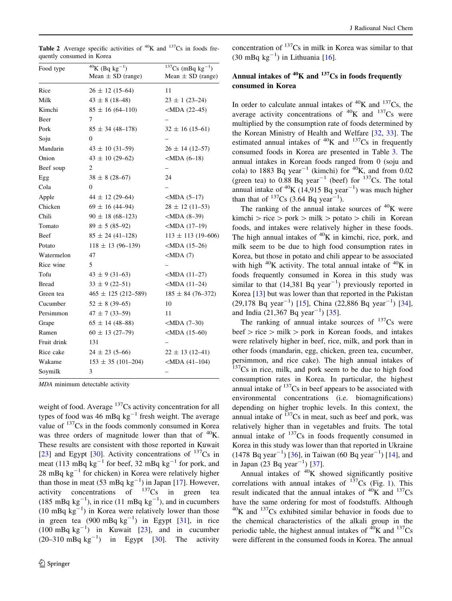<span id="page-3-0"></span>

|                           | <b>Table 2</b> Average specific activities of ${}^{40}$ K and ${}^{137}$ Cs in foods fre- |  |  |  |
|---------------------------|-------------------------------------------------------------------------------------------|--|--|--|
| quently consumed in Korea |                                                                                           |  |  |  |

| Food type    | $40$ K (Bq kg <sup>-1</sup> )<br>Mean $\pm$ SD (range) | $137Cs$ (mBq kg <sup>-1</sup> )<br>Mean $\pm$ SD (range) |
|--------------|--------------------------------------------------------|----------------------------------------------------------|
| Rice         | $26 \pm 12$ (15–64)                                    | 11                                                       |
| Milk         | $43 \pm 8$ (18-48)                                     | $23 \pm 1 (23 - 24)$                                     |
| Kimchi       | $85 \pm 16 (64 - 110)$                                 | $<$ MDA (22–45)                                          |
| Beer         | 7                                                      |                                                          |
| Pork         | $85 \pm 34 (48 - 178)$                                 | $32 \pm 16$ (15–61)                                      |
| Soju         | $\Omega$                                               |                                                          |
| Mandarin     | $43 \pm 10 (31 - 59)$                                  | $26 \pm 14$ (12–57)                                      |
| Onion        | $43 \pm 10$ (29-62)                                    | $<$ MDA $(6-18)$                                         |
| Beef soup    | $\overline{c}$                                         |                                                          |
| Egg          | $38 \pm 8 (28 - 67)$                                   | 24                                                       |
| Cola         | $\overline{0}$                                         |                                                          |
| Apple        | $44 \pm 12$ (29-64)                                    | $<$ MDA $(5-17)$                                         |
| Chicken      | $69 \pm 16 (44 - 94)$                                  | $28 \pm 12$ (11-53)                                      |
| Chili        | $90 \pm 18(68 - 123)$                                  | $<$ MDA $(8-39)$                                         |
| Tomato       | $89 \pm 5 (85 - 92)$                                   | $ MDA(17-19) $                                           |
| Beef         | $85 \pm 24 (41 - 128)$                                 | $113 \pm 113$ (19-606)                                   |
| Potato       | $118 \pm 13 (96 - 139)$                                | $<$ MDA $(15-26)$                                        |
| Watermelon   | 47                                                     | $<$ MDA $(7)$                                            |
| Rice wine    | 5                                                      |                                                          |
| Tofu         | $43 \pm 9 (31 - 63)$                                   | $<$ MDA $(11–27)$                                        |
| <b>Bread</b> | $33 \pm 9(22 - 51)$                                    | $<$ MDA $(11–24)$                                        |
| Green tea    | $465 \pm 125$ (212-589)                                | $185 \pm 84 (76 - 372)$                                  |
| Cucumber     | $52 \pm 8 (39 - 65)$                                   | 10                                                       |
| Persimmon    | $47 \pm 7$ (33-59)                                     | 11                                                       |
| Grape        | $65 \pm 14$ (48-88)                                    | $<$ MDA $(7-30)$                                         |
| Ramen        | $60 \pm 13$ (27-79)                                    | $<$ MDA $(15-60)$                                        |
| Fruit drink  | 131                                                    |                                                          |
| Rice cake    | $24 \pm 23(5-66)$                                      | $22 \pm 13$ (12–41)                                      |
| Wakame       | $153 \pm 35 (101 - 204)$                               | $ MDA(41-104) $                                          |
| Soymilk      | 3                                                      |                                                          |

MDA minimum detectable activity

weight of food. Average  $137$ Cs activity concentration for all types of food was 46 mBq  $kg^{-1}$  fresh weight. The average value of <sup>137</sup>Cs in the foods commonly consumed in Korea was three orders of magnitude lower than that of  $^{40}$ K. These results are consistent with those reported in Kuwait [\[23](#page-6-0)] and Egypt [\[30](#page-6-0)]. Activity concentrations of  $^{137}Cs$  in meat (113 mBq kg<sup>-1</sup> for beef, 32 mBq kg<sup>-1</sup> for pork, and 28 mBq  $kg^{-1}$  for chicken) in Korea were relatively higher than those in meat (53 mBq  $kg^{-1}$ ) in Japan [[17\]](#page-5-0). However, activity concentrations of  $137\text{Cs}$  in green tea (185 mBq  $kg^{-1}$ ), in rice (11 mBq  $kg^{-1}$ ), and in cucumbers  $(10 \text{ mBq kg}^{-1})$  in Korea were relatively lower than those in green tea  $(900 \text{ mBq kg}^{-1})$  in Egypt [[31\]](#page-6-0), in rice  $(100 \text{ mBq kg}^{-1})$  in Kuwait [\[23](#page-6-0)], and in cucumber  $(20-310 \text{ mBq kg}^{-1})$  in Egypt [[30\]](#page-6-0). The activity

concentration of  $137Cs$  in milk in Korea was similar to that  $(30 \text{ mBq kg}^{-1})$  in Lithuania [[16\]](#page-5-0).

# Annual intakes of  ${}^{40}$ K and  ${}^{137}$ Cs in foods frequently consumed in Korea

In order to calculate annual intakes of  ${}^{40}$ K and  ${}^{137}$ Cs, the average activity concentrations of  ${}^{40}$ K and  ${}^{137}$ Cs were multiplied by the consumption rate of foods determined by the Korean Ministry of Health and Welfare [\[32](#page-6-0), [33](#page-6-0)]. The estimated annual intakes of  ${}^{40}$ K and  ${}^{137}$ Cs in frequently consumed foods in Korea are presented in Table [3.](#page-4-0) The annual intakes in Korean foods ranged from 0 (soju and cola) to 1883 Bq year<sup>-1</sup> (kimchi) for <sup>40</sup>K, and from 0.02 (green tea) to  $0.88$  Bq year<sup>-1</sup> (beef) for  $137$ Cs. The total annual intake of  ${}^{40}$ K (14,915 Bq year<sup>-1</sup>) was much higher than that of  $^{137}Cs$  (3.64 Bq year<sup>-1</sup>).

The ranking of the annual intake sources of  ${}^{40}$ K were kimchi  $\ge$  rice  $\ge$  pork  $\ge$  milk  $\ge$  potato  $\ge$  chili in Korean foods, and intakes were relatively higher in these foods. The high annual intakes of  ${}^{40}K$  in kimchi, rice, pork, and milk seem to be due to high food consumption rates in Korea, but those in potato and chili appear to be associated with high  $^{40}$ K activity. The total annual intake of  $^{40}$ K in foods frequently consumed in Korea in this study was similar to that  $(14,381 \text{ Bq year}^{-1})$  previously reported in Korea [[13\]](#page-5-0) but was lower than that reported in the Pakistan  $(29,178 \text{ Bq year}^{-1})$  [[15\]](#page-5-0), China (22,886 Bq year<sup>-1</sup>) [\[34](#page-6-0)], and India  $(21,367 \text{ Bq year}^{-1})$  [[35\]](#page-6-0).

The ranking of annual intake sources of  $137Cs$  were beef  $>$  rice  $>$  milk  $>$  pork in Korean foods, and intakes were relatively higher in beef, rice, milk, and pork than in other foods (mandarin, egg, chicken, green tea, cucumber, persimmon, and rice cake). The high annual intakes of  $137Cs$  in rice, milk, and pork seem to be due to high food consumption rates in Korea. In particular, the highest annual intake of  $137Cs$  in beef appears to be associated with environmental concentrations (i.e. biomagnifications) depending on higher trophic levels. In this context, the annual intake of  $137Cs$  in meat, such as beef and pork, was relatively higher than in vegetables and fruits. The total annual intake of  $137Cs$  in foods frequently consumed in Korea in this study was lower than that reported in Ukraine  $(1478 \text{ Bq year}^{-1})$  [\[36](#page-6-0)], in Taiwan (60 Bq year<sup>-1</sup>) [\[14](#page-5-0)], and in Japan  $(23 \text{ Bq year}^{-1})$  [[37\]](#page-6-0).

Annual intakes of  $40K$  showed significantly positive correlations with annual intakes of  $137Cs$  $137Cs$  (Fig. 1). This result indicated that the annual intakes of  ${}^{40}$ K and  ${}^{137}$ Cs have the same ordering for most of foodstuffs. Although  $^{40}$ K and  $^{137}$ Cs exhibited similar behavior in foods due to the chemical characteristics of the alkali group in the periodic table, the highest annual intakes of  ${}^{40}$ K and  ${}^{137}$ Cs were different in the consumed foods in Korea. The annual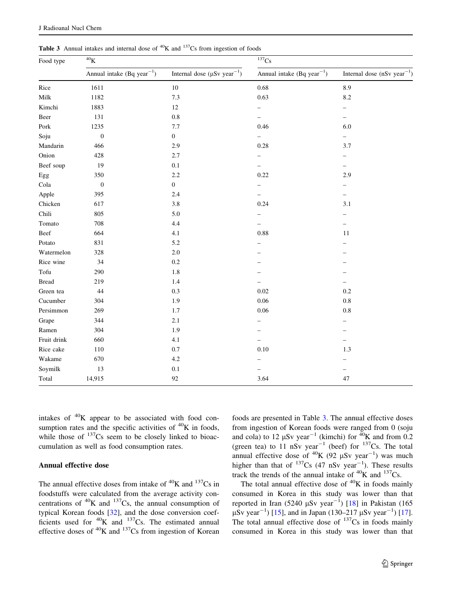| Food type    | $^{40}{\rm K}$                         |                                               | 137Cs                                  |                                   |  |
|--------------|----------------------------------------|-----------------------------------------------|----------------------------------------|-----------------------------------|--|
|              | Annual intake (Bq year <sup>-1</sup> ) | Internal dose ( $\mu Sv$ year <sup>-1</sup> ) | Annual intake (Bq year <sup>-1</sup> ) | Internal dose ( $nSv year^{-1}$ ) |  |
| Rice         | 1611                                   | $10\,$                                        | 0.68                                   | 8.9                               |  |
| Milk         | 1182                                   | 7.3                                           | 0.63                                   | 8.2                               |  |
| Kimchi       | 1883                                   | $12\,$                                        |                                        |                                   |  |
| Beer         | 131                                    | 0.8                                           | ÷,                                     | ÷,                                |  |
| Pork         | 1235                                   | 7.7                                           | 0.46                                   | 6.0                               |  |
| Soju         | $\boldsymbol{0}$                       | $\boldsymbol{0}$                              | -                                      | $\overline{\phantom{0}}$          |  |
| Mandarin     | 466                                    | 2.9                                           | 0.28                                   | 3.7                               |  |
| Onion        | 428                                    | 2.7                                           |                                        |                                   |  |
| Beef soup    | 19                                     | 0.1                                           |                                        | -                                 |  |
| Egg          | 350                                    | 2.2                                           | 0.22                                   | 2.9                               |  |
| Cola         | $\mathbf{0}$                           | $\boldsymbol{0}$                              |                                        | -                                 |  |
| Apple        | 395                                    | 2.4                                           | $\overline{\phantom{0}}$               | ÷,                                |  |
| Chicken      | 617                                    | 3.8                                           | 0.24                                   | 3.1                               |  |
| Chili        | 805                                    | 5.0                                           |                                        |                                   |  |
| Tomato       | 708                                    | 4.4                                           |                                        |                                   |  |
| Beef         | 664                                    | 4.1                                           | 0.88                                   | 11                                |  |
| Potato       | 831                                    | 5.2                                           |                                        |                                   |  |
| Watermelon   | 328                                    | $2.0\,$                                       |                                        |                                   |  |
| Rice wine    | 34                                     | $0.2\,$                                       |                                        |                                   |  |
| Tofu         | 290                                    | 1.8                                           |                                        |                                   |  |
| <b>Bread</b> | 219                                    | 1.4                                           |                                        |                                   |  |
| Green tea    | 44                                     | 0.3                                           | 0.02                                   | $0.2\,$                           |  |
| Cucumber     | 304                                    | 1.9                                           | 0.06                                   | 0.8                               |  |
| Persimmon    | 269                                    | $1.7\,$                                       | $0.06\,$                               | $\rm 0.8$                         |  |
| Grape        | 344                                    | 2.1                                           |                                        |                                   |  |
| Ramen        | 304                                    | 1.9                                           |                                        |                                   |  |
| Fruit drink  | 660                                    | 4.1                                           |                                        | -                                 |  |
| Rice cake    | 110                                    | 0.7                                           | 0.10                                   | 1.3                               |  |
| Wakame       | 670                                    | 4.2                                           |                                        |                                   |  |
| Soymilk      | 13                                     | $0.1\,$                                       |                                        |                                   |  |
| Total        | 14,915                                 | 92                                            | 3.64                                   | 47                                |  |

<span id="page-4-0"></span>**Table 3** Annual intakes and internal dose of  ${}^{40}$ K and  ${}^{137}$ Cs from ingestion of foods

intakes of  $40K$  appear to be associated with food consumption rates and the specific activities of  ${}^{40}$ K in foods, while those of  $137$ Cs seem to be closely linked to bioaccumulation as well as food consumption rates.

## Annual effective dose

The annual effective doses from intake of  ${}^{40}$ K and  ${}^{137}$ Cs in foodstuffs were calculated from the average activity concentrations of  ${}^{40}$ K and  ${}^{137}$ Cs, the annual consumption of typical Korean foods [[32\]](#page-6-0), and the dose conversion coefficients used for  ${}^{40}$ K and  ${}^{137}$ Cs. The estimated annual effective doses of  ${}^{40}$ K and  ${}^{137}$ Cs from ingestion of Korean foods are presented in Table 3. The annual effective doses from ingestion of Korean foods were ranged from 0 (soju and cola) to 12  $\mu$ Sv year<sup>-1</sup> (kimchi) for <sup>40</sup>K and from 0.2 (green tea) to 11 nSv year<sup>-1</sup> (beef) for <sup>137</sup>Cs. The total annual effective dose of <sup>40</sup>K (92  $\mu$ Sv year<sup>-1</sup>) was much higher than that of  $137Cs$  (47 nSv year<sup>-1</sup>). These results track the trends of the annual intake of  ${}^{40}$ K and  ${}^{137}$ Cs.

The total annual effective dose of  ${}^{40}$ K in foods mainly consumed in Korea in this study was lower than that reported in Iran (5240  $\mu$ Sv year<sup>-1</sup>) [\[18](#page-5-0)] in Pakistan (165  $\mu$ Sv year<sup>-1</sup>) [[15\]](#page-5-0), and in Japan (130–217  $\mu$ Sv year<sup>-1</sup>) [\[17](#page-5-0)]. The total annual effective dose of  $137Cs$  in foods mainly consumed in Korea in this study was lower than that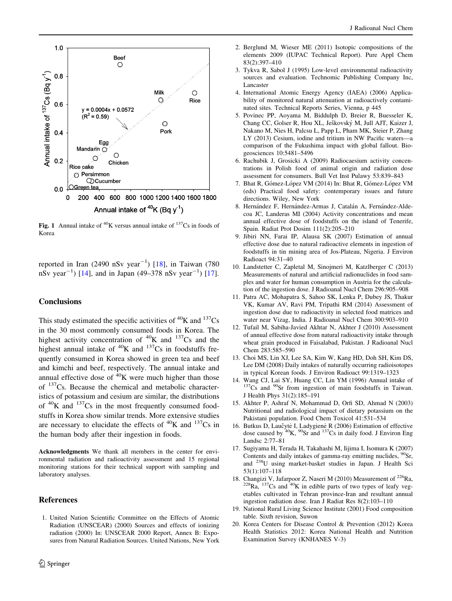<span id="page-5-0"></span>

Fig. 1 Annual intake of  ${}^{40}$ K versus annual intake of  ${}^{137}$ Cs in foods of Korea

reported in Iran (2490 nSv year<sup> $-1$ </sup>) [18], in Taiwan (780 nSv year<sup>-1</sup>) [14], and in Japan (49–378 nSv year<sup>-1</sup>) [17].

## **Conclusions**

This study estimated the specific activities of  ${}^{40}$ K and  ${}^{137}$ Cs in the 30 most commonly consumed foods in Korea. The highest activity concentration of  ${}^{40}$ K and  ${}^{137}$ Cs and the highest annual intake of  ${}^{40}$ K and  ${}^{137}$ Cs in foodstuffs frequently consumed in Korea showed in green tea and beef and kimchi and beef, respectively. The annual intake and annual effective dose of  ${}^{40}$ K were much higher than those of  $137Cs$ . Because the chemical and metabolic characteristics of potassium and cesium are similar, the distributions of  ${}^{40}$ K and  ${}^{137}$ Cs in the most frequently consumed foodstuffs in Korea show similar trends. More extensive studies are necessary to elucidate the effects of  ${}^{40}$ K and  ${}^{137}$ Cs in the human body after their ingestion in foods.

Acknowledgments We thank all members in the center for environmental radiation and radioactivity assessment and 15 regional monitoring stations for their technical support with sampling and laboratory analyses.

#### References

1. United Nation Scientific Committee on the Effects of Atomic Radiation (UNSCEAR) (2000) Sources and effects of ionizing radiation (2000) In: UNSCEAR 2000 Report, Annex B: Exposures from Natural Radiation Sources. United Nations, New York

- 2. Berglund M, Wieser ME (2011) Isotopic compositions of the elements 2009 (IUPAC Technical Report). Pure Appl Chem 83(2):397–410
- 3. Tykva R, Sabol J (1995) Low-level environmental radioactivity sources and evaluation. Technomic Publishing Company Inc, Lancaster
- 4. International Atomic Energy Agency (IAEA) (2006) Applicability of monitored natural attenuation at radioactively contaminated sites. Technical Reports Series, Vienna, p 445
- 5. Povinec PP, Aoyama M, Biddulph D, Breier R, Buesseler K, Chang CC, Golser R, Hou XL, Ješkovský M, Jull AJT, Kaizer J, Nakano M, Nies H, Palcsu L, Papp L, Pham MK, Steier P, Zhang LY (2013) Cesium, iodine and tritium in NW Pacific waters—a comparison of the Fukushima impact with global fallout. Biogeosciences 10:5481–5496
- 6. Rachubik J, Grosicki A (2009) Radiocaesium activity concentrations in Polish food of animal origin and radiation dose assessment for consumers. Bull Vet Inst Pulawy 53:839–843
- 7. Bhat R, Gómez-López VM (2014) In: Bhat R, Gómez-López VM (eds) Practical food safety: contemporary issues and future directions. Wiley, New York
- 8. Hernández F, Hernández-Armas J, Catalán A, Fernández-Aldecoa JC, Landeras MI (2004) Activity concentrations and mean annual effective dose of foodstuffs on the island of Tenerife, Spain. Radiat Prot Dosim 111(2):205–210
- 9. Jibiri NN, Farai IP, Alausa SK (2007) Estimation of annual effective dose due to natural radioactive elements in ingestion of foodstuffs in tin mining area of Jos-Plateau, Nigeria. J Environ Radioact 94:31–40
- 10. Landstetter C, Zapletal M, Sinojmeri M, Katzlberger C (2013) Measurements of natural and artificial radionuclides in food samples and water for human consumption in Austria for the calculation of the ingestion dose. J Radioanal Nucl Chem 296:905–908
- 11. Patra AC, Mohapatra S, Sahoo SK, Lenka P, Dubey JS, Thakur VK, Kumar AV, Ravi PM, Tripathi RM (2014) Assessment of ingestion dose due to radioactivity in selected food matrices and water near Vizag, India. J Radioanal Nucl Chem 300:903–910
- 12. Tufail M, Sabiha-Javied Akhtar N, Akhter J (2010) Assessment of annual effective dose from natural radioactivity intake through wheat grain produced in Faisalabad, Pakistan. J Radioanal Nucl Chem 283:585–590
- 13. Choi MS, Lin XJ, Lee SA, Kim W, Kang HD, Doh SH, Kim DS, Lee DM (2008) Daily intakes of naturally occurring radioisotopes in typical Korean foods. J Environ Radioact 99:1319–1323
- 14. Wang CJ, Lai SY, Huang CC, Lin YM (1996) Annual intake of  $137Cs$  and  $90Sr$  from ingestion of main foodstuffs in Taiwan. J Health Phys 31(2):185–191
- 15. Akhter P, Ashraf N, Mohammad D, Orfi SD, Ahmad N (2003) Nutritional and radiological impact of dietary potassium on the Pakistani population. Food Chem Toxicol 41:531–534
- 16. Butkus D, Laučytė I, Ladygienė R (2006) Estimation of effective dose caused by  ${}^{40}$ K,  ${}^{90}$ Sr and  ${}^{137}$ Cs in daily food. J Environ Eng Landsc 2:77–81
- 17. Sugiyama H, Terada H, Takahashi M, Iijima I, Isomura K (2007) Contents and daily intakes of gamma-ray emitting nuclides, <sup>90</sup>Sr, and 238U using market-basket studies in Japan. J Health Sci 53(1):107–118<br>18. Changizi V, Jafarpoor Z, Naseri M (2010) Measurement of <sup>226</sup>Ra,
- $228$ Ra,  $137$ Cs and  $40$ K in edible parts of two types of leafy vegetables cultivated in Tehran province-Iran and resultant annual ingestion radiation dose. Iran J Radiat Res 8(2):103–110
- 19. National Rural Living Science Institute (2001) Food composition table. Sixth revision, Suwon
- 20. Korea Centers for Disease Control & Prevention (2012) Korea Health Statistics 2012: Korea National Health and Nutrition Examination Survey (KNHANES V-3)